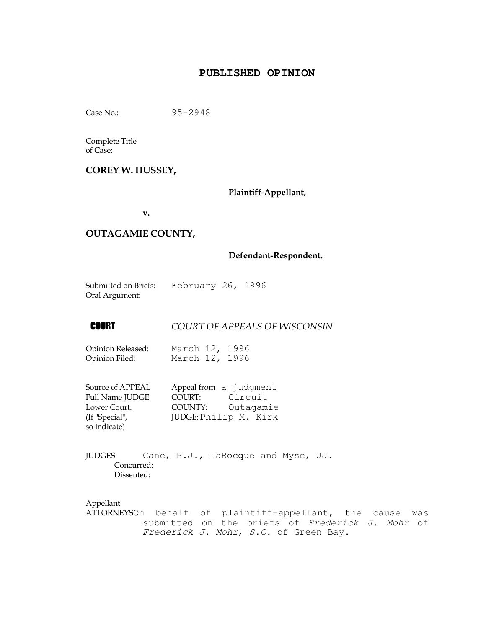# **PUBLISHED OPINION**

Case No.: 95-2948

Complete Title

of Case:

## COREY W. HUSSEY,

Plaintiff-Appellant,

v.

#### OUTAGAMIE COUNTY,

#### Defendant-Respondent.

| Submitted on Briefs: | February 26, 1996 |  |
|----------------------|-------------------|--|
| Oral Argument:       |                   |  |

**COURT OF APPEALS OF WISCONSIN** 

| Opinion Released: | March 12, 1996 |  |
|-------------------|----------------|--|
| Opinion Filed:    | March 12, 1996 |  |

| Source of APPEAL       | Appeal from a judgment |           |
|------------------------|------------------------|-----------|
| <b>Full Name JUDGE</b> | COURT:                 | Circuit   |
| Lower Court.           | COUNTY:                | Outagamie |
| (If "Special",         | JUDGE: Philip M. Kirk  |           |
| so indicate)           |                        |           |

JUDGES: Cane, P.J., LaRocque and Myse, JJ. Concurred: Dissented:

Appellant

ATTORNEYSOn behalf of plaintiff-appellant, the cause was submitted on the briefs of Frederick J. Mohr of Frederick J. Mohr, S.C. of Green Bay.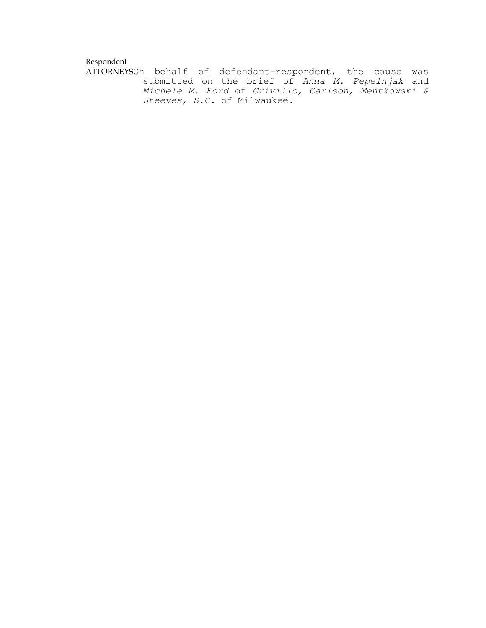#### Respondent

ATTORNEYSOn behalf of defendant-respondent, the cause was submitted on the brief of Anna M. Pepelnjak and Michele M. Ford of Crivillo, Carlson, Mentkowski & Steeves, S.C. of Milwaukee.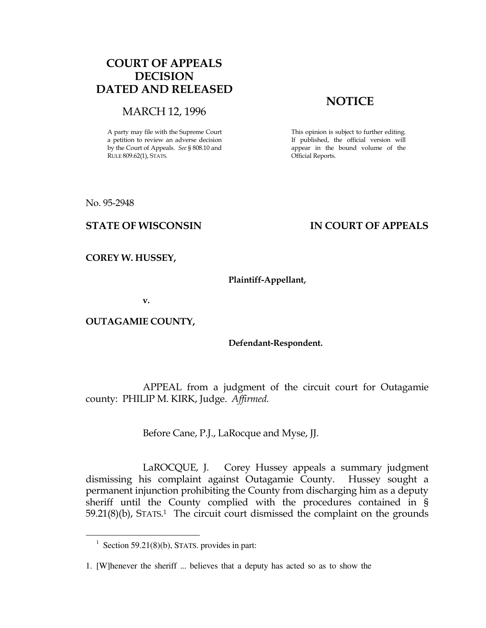# COURT OF APPEALS DECISION DATED AND RELEASED

### MARCH 12, 1996

A party may file with the Supreme Court a petition to review an adverse decision by the Court of Appeals. See § 808.10 and RULE 809.62(1), STATS.

# **NOTICE**

This opinion is subject to further editing. If published, the official version will appear in the bound volume of the Official Reports.

No. 95-2948

 $\overline{a}$ 

# STATE OF WISCONSIN THE RESERVE TO THE STATE OF APPEALS

COREY W. HUSSEY,

#### Plaintiff-Appellant,

v.

OUTAGAMIE COUNTY,

#### Defendant-Respondent.

 APPEAL from a judgment of the circuit court for Outagamie county: PHILIP M. KIRK, Judge. Affirmed.

Before Cane, P.J., LaRocque and Myse, JJ.

 LaROCQUE, J. Corey Hussey appeals a summary judgment dismissing his complaint against Outagamie County. Hussey sought a permanent injunction prohibiting the County from discharging him as a deputy sheriff until the County complied with the procedures contained in § 59.21(8)(b), STATS. <sup>1</sup> The circuit court dismissed the complaint on the grounds

 $1$  Section 59.21(8)(b), STATS. provides in part:

<sup>1. [</sup>W]henever the sheriff ... believes that a deputy has acted so as to show the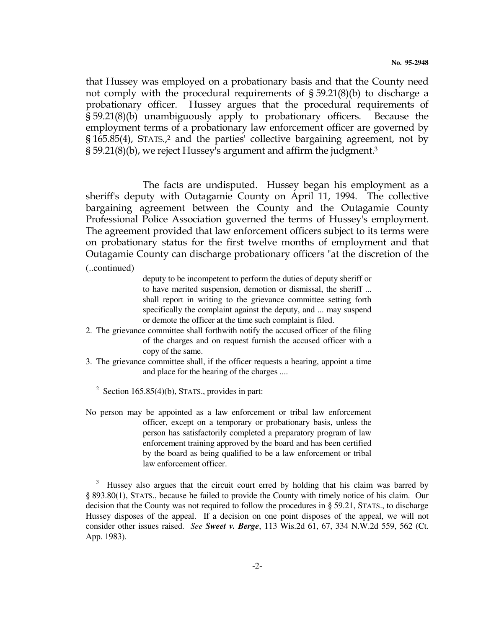that Hussey was employed on a probationary basis and that the County need not comply with the procedural requirements of § 59.21(8)(b) to discharge a probationary officer. Hussey argues that the procedural requirements of § 59.21(8)(b) unambiguously apply to probationary officers. Because the employment terms of a probationary law enforcement officer are governed by § 165.85(4), STATS., <sup>2</sup> and the parties' collective bargaining agreement, not by  $\S 59.21(8)(b)$ , we reject Hussey's argument and affirm the judgment.<sup>3</sup>

 The facts are undisputed. Hussey began his employment as a sheriff's deputy with Outagamie County on April 11, 1994. The collective bargaining agreement between the County and the Outagamie County Professional Police Association governed the terms of Hussey's employment. The agreement provided that law enforcement officers subject to its terms were on probationary status for the first twelve months of employment and that Outagamie County can discharge probationary officers "at the discretion of the

(..continued)

deputy to be incompetent to perform the duties of deputy sheriff or to have merited suspension, demotion or dismissal, the sheriff ... shall report in writing to the grievance committee setting forth specifically the complaint against the deputy, and ... may suspend or demote the officer at the time such complaint is filed.

- 2. The grievance committee shall forthwith notify the accused officer of the filing of the charges and on request furnish the accused officer with a copy of the same.
- 3. The grievance committee shall, if the officer requests a hearing, appoint a time and place for the hearing of the charges ....
	- <sup>2</sup> Section 165.85(4)(b), STATS., provides in part:
- No person may be appointed as a law enforcement or tribal law enforcement officer, except on a temporary or probationary basis, unless the person has satisfactorily completed a preparatory program of law enforcement training approved by the board and has been certified by the board as being qualified to be a law enforcement or tribal law enforcement officer.

<sup>3</sup> Hussey also argues that the circuit court erred by holding that his claim was barred by § 893.80(1), STATS., because he failed to provide the County with timely notice of his claim. Our decision that the County was not required to follow the procedures in § 59.21, STATS., to discharge Hussey disposes of the appeal. If a decision on one point disposes of the appeal, we will not consider other issues raised. *See Sweet v. Berge*, 113 Wis.2d 61, 67, 334 N.W.2d 559, 562 (Ct. App. 1983).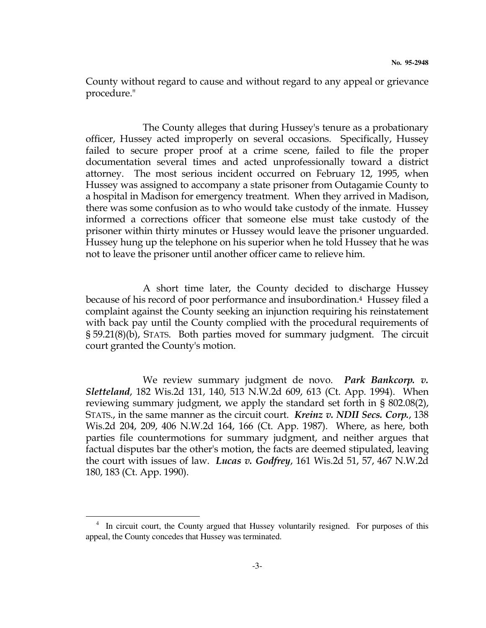County without regard to cause and without regard to any appeal or grievance procedure."

 The County alleges that during Hussey's tenure as a probationary officer, Hussey acted improperly on several occasions. Specifically, Hussey failed to secure proper proof at a crime scene, failed to file the proper documentation several times and acted unprofessionally toward a district attorney. The most serious incident occurred on February 12, 1995, when Hussey was assigned to accompany a state prisoner from Outagamie County to a hospital in Madison for emergency treatment. When they arrived in Madison, there was some confusion as to who would take custody of the inmate. Hussey informed a corrections officer that someone else must take custody of the prisoner within thirty minutes or Hussey would leave the prisoner unguarded. Hussey hung up the telephone on his superior when he told Hussey that he was not to leave the prisoner until another officer came to relieve him.

 A short time later, the County decided to discharge Hussey because of his record of poor performance and insubordination.4 Hussey filed a complaint against the County seeking an injunction requiring his reinstatement with back pay until the County complied with the procedural requirements of § 59.21(8)(b), STATS. Both parties moved for summary judgment. The circuit court granted the County's motion.

We review summary judgment de novo. Park Bankcorp. v. Sletteland, 182 Wis.2d 131, 140, 513 N.W.2d 609, 613 (Ct. App. 1994). When reviewing summary judgment, we apply the standard set forth in § 802.08(2), STATS., in the same manner as the circuit court. *Kreinz v. NDII Secs. Corp.*, 138 Wis.2d 204, 209, 406 N.W.2d 164, 166 (Ct. App. 1987). Where, as here, both parties file countermotions for summary judgment, and neither argues that factual disputes bar the other's motion, the facts are deemed stipulated, leaving the court with issues of law. *Lucas v. Godfrey*, 161 Wis.2d 51, 57, 467 N.W.2d 180, 183 (Ct. App. 1990).

 $\overline{a}$ 

<sup>4</sup> In circuit court, the County argued that Hussey voluntarily resigned. For purposes of this appeal, the County concedes that Hussey was terminated.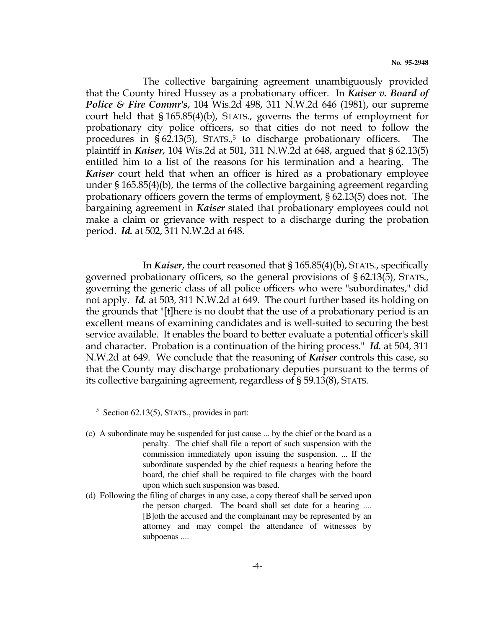The collective bargaining agreement unambiguously provided that the County hired Hussey as a probationary officer. In Kaiser v. Board of Police & Fire Commr's, 104 Wis.2d 498, 311 N.W.2d 646 (1981), our supreme court held that § 165.85(4)(b), STATS., governs the terms of employment for probationary city police officers, so that cities do not need to follow the procedures in § 62.13(5), STATS., <sup>5</sup> to discharge probationary officers. The plaintiff in Kaiser, 104 Wis.2d at 501, 311 N.W.2d at 648, argued that § 62.13(5) entitled him to a list of the reasons for his termination and a hearing. The Kaiser court held that when an officer is hired as a probationary employee under § 165.85(4)(b), the terms of the collective bargaining agreement regarding probationary officers govern the terms of employment, § 62.13(5) does not. The bargaining agreement in Kaiser stated that probationary employees could not make a claim or grievance with respect to a discharge during the probation period. Id. at 502, 311 N.W.2d at 648.

 In Kaiser, the court reasoned that § 165.85(4)(b), STATS., specifically governed probationary officers, so the general provisions of § 62.13(5), STATS., governing the generic class of all police officers who were "subordinates," did not apply. Id. at 503, 311 N.W.2d at 649. The court further based its holding on the grounds that "[t]here is no doubt that the use of a probationary period is an excellent means of examining candidates and is well-suited to securing the best service available. It enables the board to better evaluate a potential officer's skill and character. Probation is a continuation of the hiring process." Id. at 504, 311 N.W.2d at 649. We conclude that the reasoning of **Kaiser** controls this case, so that the County may discharge probationary deputies pursuant to the terms of its collective bargaining agreement, regardless of § 59.13(8), STATS.

 $\overline{a}$ 

<sup>&</sup>lt;sup>5</sup> Section 62.13(5), STATS., provides in part:

<sup>(</sup>c) A subordinate may be suspended for just cause ... by the chief or the board as a penalty. The chief shall file a report of such suspension with the commission immediately upon issuing the suspension. ... If the subordinate suspended by the chief requests a hearing before the board, the chief shall be required to file charges with the board upon which such suspension was based.

<sup>(</sup>d) Following the filing of charges in any case, a copy thereof shall be served upon the person charged. The board shall set date for a hearing .... [B]oth the accused and the complainant may be represented by an attorney and may compel the attendance of witnesses by subpoenas ....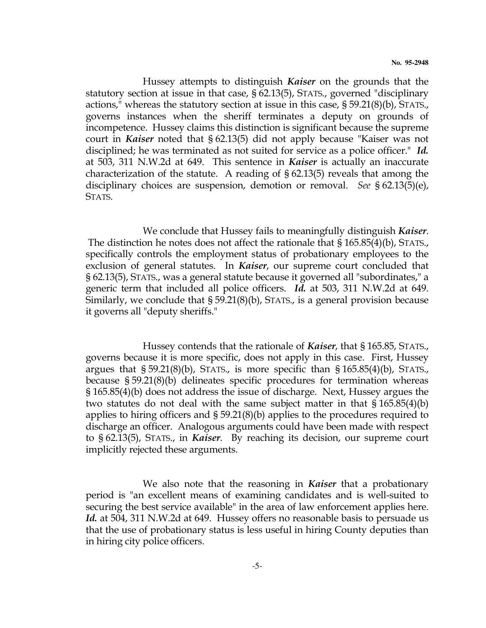Hussey attempts to distinguish Kaiser on the grounds that the statutory section at issue in that case, § 62.13(5), STATS., governed "disciplinary actions," whereas the statutory section at issue in this case, § 59.21(8)(b), STATS., governs instances when the sheriff terminates a deputy on grounds of incompetence. Hussey claims this distinction is significant because the supreme court in Kaiser noted that § 62.13(5) did not apply because "Kaiser was not disciplined; he was terminated as not suited for service as a police officer." Id. at 503, 311 N.W.2d at 649. This sentence in Kaiser is actually an inaccurate characterization of the statute. A reading of § 62.13(5) reveals that among the disciplinary choices are suspension, demotion or removal. See § 62.13(5)(e), STATS.

We conclude that Hussey fails to meaningfully distinguish Kaiser. The distinction he notes does not affect the rationale that § 165.85(4)(b), STATS., specifically controls the employment status of probationary employees to the exclusion of general statutes. In *Kaiser*, our supreme court concluded that § 62.13(5), STATS., was a general statute because it governed all "subordinates," a generic term that included all police officers. Id. at 503, 311 N.W.2d at 649. Similarly, we conclude that § 59.21(8)(b), STATS., is a general provision because it governs all "deputy sheriffs."

 Hussey contends that the rationale of Kaiser, that § 165.85, STATS., governs because it is more specific, does not apply in this case. First, Hussey argues that  $\S 59.21(8)(b)$ , STATS., is more specific than  $\S 165.85(4)(b)$ , STATS., because § 59.21(8)(b) delineates specific procedures for termination whereas § 165.85(4)(b) does not address the issue of discharge. Next, Hussey argues the two statutes do not deal with the same subject matter in that § 165.85(4)(b) applies to hiring officers and § 59.21(8)(b) applies to the procedures required to discharge an officer. Analogous arguments could have been made with respect to § 62.13(5), STATS., in Kaiser. By reaching its decision, our supreme court implicitly rejected these arguments.

We also note that the reasoning in Kaiser that a probationary period is "an excellent means of examining candidates and is well-suited to securing the best service available" in the area of law enforcement applies here. Id. at 504, 311 N.W.2d at 649. Hussey offers no reasonable basis to persuade us that the use of probationary status is less useful in hiring County deputies than in hiring city police officers.